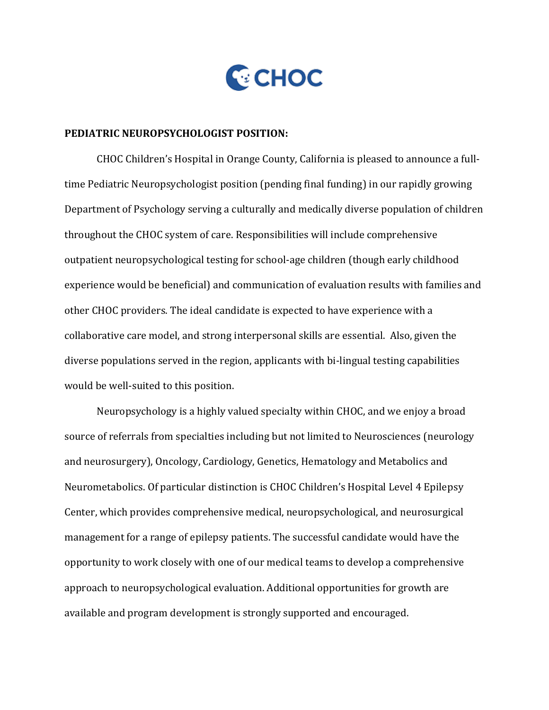

## **PEDIATRIC NEUROPSYCHOLOGIST POSITION:**

CHOC Children's Hospital in Orange County, California is pleased to announce a fulltime Pediatric Neuropsychologist position (pending final funding) in our rapidly growing Department of Psychology serving a culturally and medically diverse population of children throughout the CHOC system of care. Responsibilities will include comprehensive outpatient neuropsychological testing for school-age children (though early childhood experience would be beneficial) and communication of evaluation results with families and other CHOC providers. The ideal candidate is expected to have experience with a collaborative care model, and strong interpersonal skills are essential. Also, given the diverse populations served in the region, applicants with bi-lingual testing capabilities would be well-suited to this position.

Neuropsychology is a highly valued specialty within CHOC, and we enjoy a broad source of referrals from specialties including but not limited to Neurosciences (neurology and neurosurgery), Oncology, Cardiology, Genetics, Hematology and Metabolics and Neurometabolics. Of particular distinction is CHOC Children's Hospital Level 4 Epilepsy Center, which provides comprehensive medical, neuropsychological, and neurosurgical management for a range of epilepsy patients. The successful candidate would have the opportunity to work closely with one of our medical teams to develop a comprehensive approach to neuropsychological evaluation. Additional opportunities for growth are available and program development is strongly supported and encouraged.